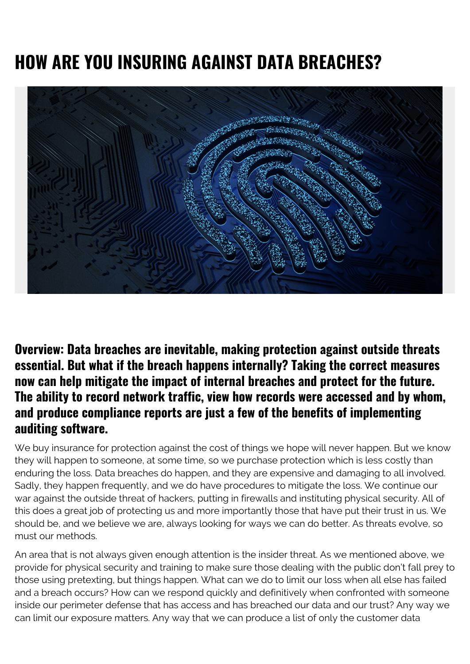## **HOW ARE YOU INSURING AGAINST DATA BREACHES?**



**Overview: Data breaches are inevitable, making protection against outside threats essential. But what if the breach happens internally? Taking the correct measures now can help mitigate the impact of internal breaches and protect for the future. The ability to record network traffic, view how records were accessed and by whom, and produce compliance reports are just a few of the benefits of implementing auditing software.**

We buy insurance for protection against the cost of things we hope will never happen. But we know they will happen to someone, at some time, so we purchase protection which is less costly than enduring the loss. Data breaches do happen, and they are expensive and damaging to all involved. Sadly, they happen frequently, and we do have procedures to mitigate the loss. We continue our war against the outside threat of hackers, putting in firewalls and instituting physical security. All of this does a great job of protecting us and more importantly those that have put their trust in us. We should be, and we believe we are, always looking for ways we can do better. As threats evolve, so must our methods.

An area that is not always given enough attention is the insider threat. As we mentioned above, we provide for physical security and training to make sure those dealing with the public don't fall prey to those using pretexting, but things happen. What can we do to limit our loss when all else has failed and a breach occurs? How can we respond quickly and definitively when confronted with someone inside our perimeter defense that has access and has breached our data and our trust? Any way we can limit our exposure matters. Any way that we can produce a list of only the customer data